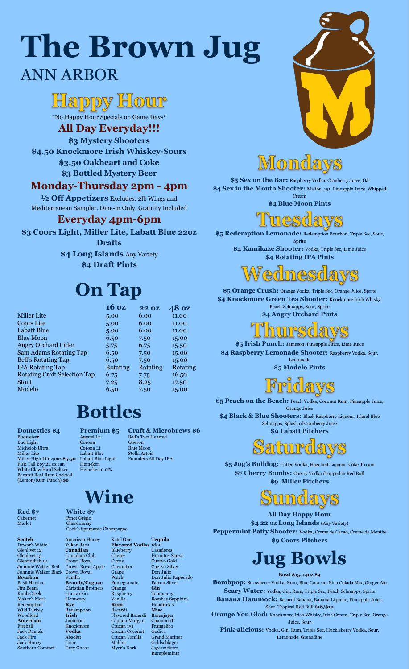\*No Happy Hour Specials on Game Days\*

#### **All Day Everyday!!!**

**\$3 Mystery Shooters \$4.50 Knockmore Irish Whiskey-Sours \$3.50 Oakheart and Coke**

**\$3 Bottled Mystery Beer**

#### **Monday-Thursday 2pm - 4pm**

**½ Off Appetizers** Excludes: 2lb Wings and Mediterranean Sampler. Dine-in Only. Gratuity Included

\$5 Sex on the Bar: Raspberry Vodka, Cranberry Juice, OJ **\$4 Sex in the Mouth Shooter:** Malibu, 151, Pineapple Juice, Whipped Cream

#### **Everyday 4pm-6pm**

**\$3 Coors Light, Miller Lite, Labatt Blue 22oz** 

\$4 Kamikaze Shooter: Vodka, Triple Sec, Lime Juice **\$4 Rotating IPA Pints**

**Drafts \$4 Long Islands** Any Variety **\$4 Draft Pints**

### **On Tap**

# **The Brown Jug** ANN ARBOR

## Happy Hour

\$5 Peach on the Beach: Peach Vodka, Coconut Rum, Pineapple Juice, Orange Juice

**\$4 Blue Moon Pints**



**\$5 Redemption Lemonade:** Redemption Bourbon, Triple Sec, Sour, Sprite

\$4 Black & Blue Shooters: Black Raspberry Liqueur, Island Blue Schnapps, Splash of Cranberry Juice **\$9 Labatt Pitchers**





**\$5 Orange Crush:** Orange Vodka, Triple Sec, Orange Juice, Sprite \$4 Knockmore Green Tea Shooter: Knockmore Irish Whisky, Peach Schnapps, Sour, Sprite **\$4 Angry Orchard Pints**



**\$5 Irish Punch:** Jameson, Pineapple Juice, Lime Juice **\$4 Raspberry Lemonade Shooter:** Raspberry Vodka, Sour, Lemonade

**\$5 Modelo Pints**



**\$5 Jug's Bulldog:** Coffee Vodka, Hazelnut Liqueur, Coke, Cream **\$7 Cherry Bombs:** Cherry Vodka dropped in Red Bull **\$9 Miller Pitchers**

undays

**All Day Happy Hour \$4 22 oz Long Islands** (Any Variety) **Peppermint Patty Shooter:** Vodka, Creme de Cacao, Creme de Menthe

**\$9 Coors Pitchers**

## **Jug Bowls**

#### **Bowl \$15, 14oz \$9**

**Bombpop:** Strawberry Vodka, Rum, Blue Curacao, Pina Colada Mix, Ginger Ale **Scary Water:** Vodka, Gin, Rum, Triple Sec, Peach Schnapps, Sprite **Banana Hammock:** Bacardi Banana, Banana Liqueur, Pineapple Juice, Sour, Tropical Red Bull **\$18/\$10 Orange You Glad:** Knockmore Irish Whisky, Irish Cream, Triple Sec, Orange Juice, Sour **Pink-alicious:** Vodka, Gin, Rum, Triple Sec, Huckleberry Vodka, Sour, Lemonade, Grenadine

## **Bottles**

### **Wine**

| 16 oz           | <b>22 OZ</b>    | 48 oz           |
|-----------------|-----------------|-----------------|
| 5.00            | 6.00            | 11.00           |
| 5.00            | 6.00            | 11.00           |
| 5.00            | 6.00            | 11.00           |
| 6.50            | 7.50            | 15.00           |
| 5.75            | 6.75            | 15.50           |
| 6.50            | 7.50            | 15.00           |
| 6.50            | 7.50            | 15.00           |
| <b>Rotating</b> | <b>Rotating</b> | <b>Rotating</b> |
| 6.75            | 7.75            | 16.50           |
| 7.25            | 8.25            | 17.50           |
| 6.50            | 7.50            | 15.00           |
|                 |                 |                 |

**Domestics \$4** Budweiser Bud Light Michelob Ultra Miller Lite Miller High Life 40oz **\$5.50** Labatt Blue Light

PBR Tall Boy 24 oz can White Claw Hard Seltzer Bacardi Real Rum Cocktail (Lemon/Rum Punch) **\$6**

**Premium \$5** Amstel Lt. Corona Corona Lt Labatt Blue

Heineken Heineken 0.0% **Craft & Microbrews \$6** Bell's Two Hearted Oberon Blue Moon Stella Artois Founders All Day IPA



## <u>Monda</u>

**Red \$7** Cabernet Merlot

**White \$7** Pinot Grigio Chardonnay Cook's Spumante Champagne

**Scotch** Dewar's White Glenlivet 12 Glenlivet 15 Glenfiddich 12 Johnnie Walker Red Johnnie Walker Black Crown Royal **Bourbon** Basil Haydens Jim Beam Knob Creek Maker's Mark Redemption Wild Turkey Woodford **American** Fireball Jack Daniels Jack Fire Jack Honey Southern Comfort

**Rye**

**Irish**

Ciroc

American Honey Yukon Jack **Canadian** Canadian Club Crown Royal Crown Royal Apple Vanilla **Brandy/Cognac** Christian Brothers Courvoisier Hennessy Redemption Jameson Knockmore **Vodka** Absolut Grey Goose Ketel One Blueberry Cherry Citrus Cucumber Grape Peach Pomegranate Orange Raspberry Vanilla **Rum** Bacardi Flavored Bacardi Captain Morgan Cruzan 151 Cruzan Coconut Cruzan Vanilla Malibu Myer's Dark

**Flavored Vodka** 1800 **Tequila** Cazadores Hornitos Sauza Cuervo Gold Cuervo Silver Don Julio Don Julio Reposado Patron Silver **Gin** Tanqueray Bombay Sapphire Hendrick's **Misc** Barenjager Chambord Frangelico Godiva Grand Mariner Goldschlager Jagermeister Rumplemintz